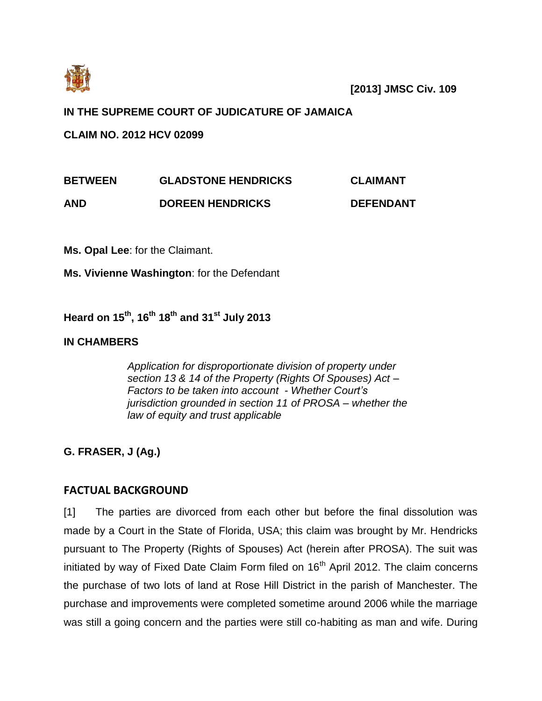

# **IN THE SUPREME COURT OF JUDICATURE OF JAMAICA**

**CLAIM NO. 2012 HCV 02099**

| <b>BETWEEN</b> | <b>GLADSTONE HENDRICKS</b> | <b>CLAIMANT</b> |
|----------------|----------------------------|-----------------|
|                |                            |                 |

**AND DOREEN HENDRICKS DEFENDANT**

**Ms. Opal Lee**: for the Claimant.

**Ms. Vivienne Washington**: for the Defendant

**Heard on 15th, 16th 18th and 31st July 2013**

# **IN CHAMBERS**

*Application for disproportionate division of property under section 13 & 14 of the Property (Rights Of Spouses) Act – Factors to be taken into account - Whether Court's jurisdiction grounded in section 11 of PROSA – whether the law of equity and trust applicable* 

**G. FRASER, J (Ag.)**

# **FACTUAL BACKGROUND**

[1] The parties are divorced from each other but before the final dissolution was made by a Court in the State of Florida, USA; this claim was brought by Mr. Hendricks pursuant to The Property (Rights of Spouses) Act (herein after PROSA). The suit was initiated by way of Fixed Date Claim Form filed on  $16<sup>th</sup>$  April 2012. The claim concerns the purchase of two lots of land at Rose Hill District in the parish of Manchester. The purchase and improvements were completed sometime around 2006 while the marriage was still a going concern and the parties were still co-habiting as man and wife. During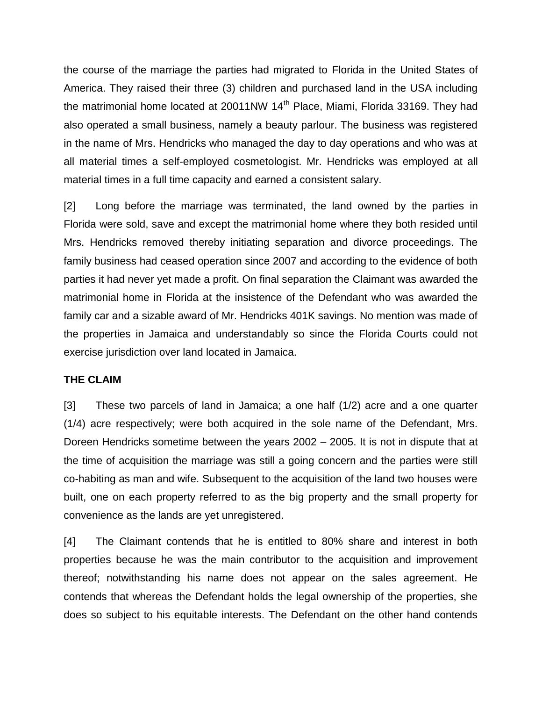the course of the marriage the parties had migrated to Florida in the United States of America. They raised their three (3) children and purchased land in the USA including the matrimonial home located at 20011NW  $14<sup>th</sup>$  Place, Miami, Florida 33169. They had also operated a small business, namely a beauty parlour. The business was registered in the name of Mrs. Hendricks who managed the day to day operations and who was at all material times a self-employed cosmetologist. Mr. Hendricks was employed at all material times in a full time capacity and earned a consistent salary.

[2] Long before the marriage was terminated, the land owned by the parties in Florida were sold, save and except the matrimonial home where they both resided until Mrs. Hendricks removed thereby initiating separation and divorce proceedings. The family business had ceased operation since 2007 and according to the evidence of both parties it had never yet made a profit. On final separation the Claimant was awarded the matrimonial home in Florida at the insistence of the Defendant who was awarded the family car and a sizable award of Mr. Hendricks 401K savings. No mention was made of the properties in Jamaica and understandably so since the Florida Courts could not exercise jurisdiction over land located in Jamaica.

## **THE CLAIM**

[3] These two parcels of land in Jamaica; a one half (1/2) acre and a one quarter (1/4) acre respectively; were both acquired in the sole name of the Defendant, Mrs. Doreen Hendricks sometime between the years 2002 – 2005. It is not in dispute that at the time of acquisition the marriage was still a going concern and the parties were still co-habiting as man and wife. Subsequent to the acquisition of the land two houses were built, one on each property referred to as the big property and the small property for convenience as the lands are yet unregistered.

[4] The Claimant contends that he is entitled to 80% share and interest in both properties because he was the main contributor to the acquisition and improvement thereof; notwithstanding his name does not appear on the sales agreement. He contends that whereas the Defendant holds the legal ownership of the properties, she does so subject to his equitable interests. The Defendant on the other hand contends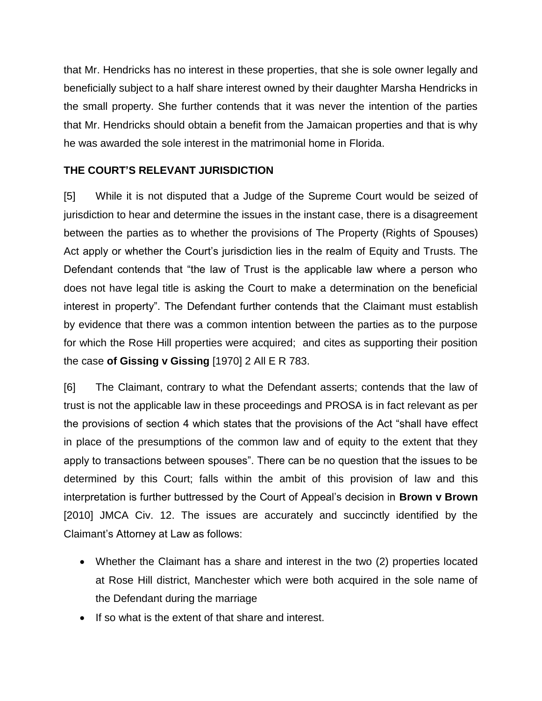that Mr. Hendricks has no interest in these properties, that she is sole owner legally and beneficially subject to a half share interest owned by their daughter Marsha Hendricks in the small property. She further contends that it was never the intention of the parties that Mr. Hendricks should obtain a benefit from the Jamaican properties and that is why he was awarded the sole interest in the matrimonial home in Florida.

# **THE COURT'S RELEVANT JURISDICTION**

[5] While it is not disputed that a Judge of the Supreme Court would be seized of jurisdiction to hear and determine the issues in the instant case, there is a disagreement between the parties as to whether the provisions of The Property (Rights of Spouses) Act apply or whether the Court's jurisdiction lies in the realm of Equity and Trusts. The Defendant contends that "the law of Trust is the applicable law where a person who does not have legal title is asking the Court to make a determination on the beneficial interest in property". The Defendant further contends that the Claimant must establish by evidence that there was a common intention between the parties as to the purpose for which the Rose Hill properties were acquired; and cites as supporting their position the case **of Gissing v Gissing** [1970] 2 All E R 783.

[6] The Claimant, contrary to what the Defendant asserts; contends that the law of trust is not the applicable law in these proceedings and PROSA is in fact relevant as per the provisions of section 4 which states that the provisions of the Act "shall have effect in place of the presumptions of the common law and of equity to the extent that they apply to transactions between spouses". There can be no question that the issues to be determined by this Court; falls within the ambit of this provision of law and this interpretation is further buttressed by the Court of Appeal's decision in **Brown v Brown** [2010] JMCA Civ. 12. The issues are accurately and succinctly identified by the Claimant's Attorney at Law as follows:

- Whether the Claimant has a share and interest in the two (2) properties located at Rose Hill district, Manchester which were both acquired in the sole name of the Defendant during the marriage
- If so what is the extent of that share and interest.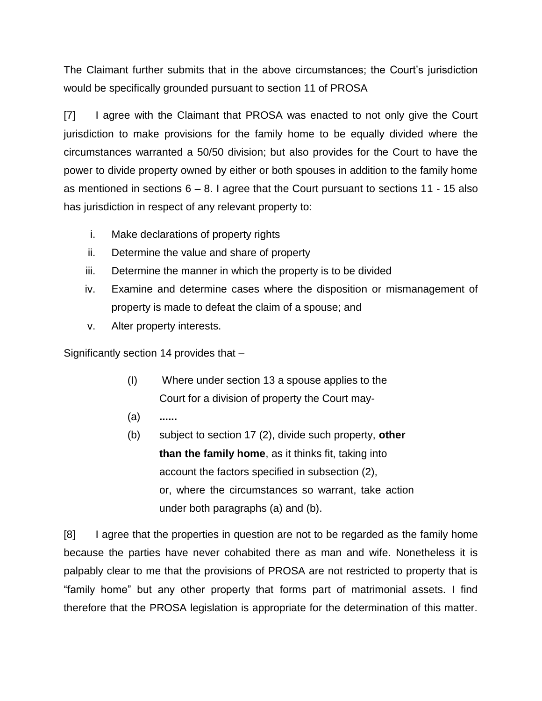The Claimant further submits that in the above circumstances; the Court's jurisdiction would be specifically grounded pursuant to section 11 of PROSA

[7] I agree with the Claimant that PROSA was enacted to not only give the Court jurisdiction to make provisions for the family home to be equally divided where the circumstances warranted a 50/50 division; but also provides for the Court to have the power to divide property owned by either or both spouses in addition to the family home as mentioned in sections  $6 - 8$ . I agree that the Court pursuant to sections 11 - 15 also has jurisdiction in respect of any relevant property to:

- i. Make declarations of property rights
- ii. Determine the value and share of property
- iii. Determine the manner in which the property is to be divided
- iv. Examine and determine cases where the disposition or mismanagement of property is made to defeat the claim of a spouse; and
- v. Alter property interests.

Significantly section 14 provides that –

- (I) Where under section 13 a spouse applies to the Court for a division of property the Court may-
- (a) **......**
- (b) subject to section 17 (2), divide such property, **other than the family home**, as it thinks fit, taking into account the factors specified in subsection (2), or, where the circumstances so warrant, take action under both paragraphs (a) and (b).

[8] I agree that the properties in question are not to be regarded as the family home because the parties have never cohabited there as man and wife. Nonetheless it is palpably clear to me that the provisions of PROSA are not restricted to property that is "family home" but any other property that forms part of matrimonial assets. I find therefore that the PROSA legislation is appropriate for the determination of this matter.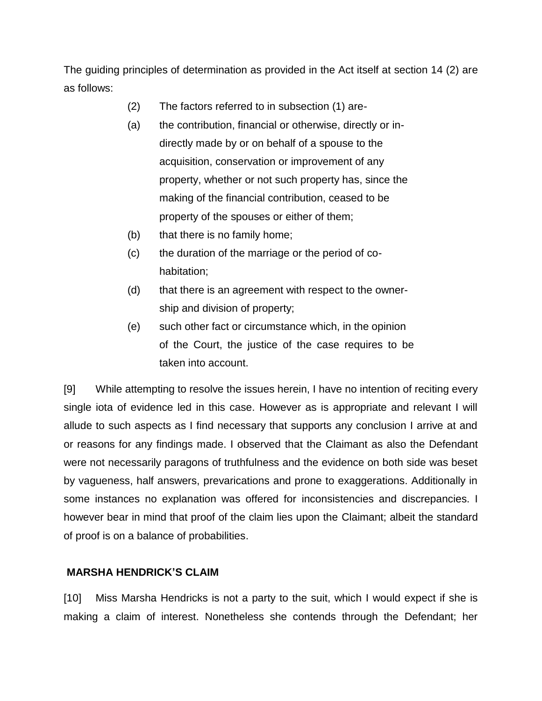The guiding principles of determination as provided in the Act itself at section 14 (2) are as follows:

- (2) The factors referred to in subsection (1) are-
- (a) the contribution, financial or otherwise, directly or indirectly made by or on behalf of a spouse to the acquisition, conservation or improvement of any property, whether or not such property has, since the making of the financial contribution, ceased to be property of the spouses or either of them;
- (b) that there is no family home;
- (c) the duration of the marriage or the period of cohabitation;
- (d) that there is an agreement with respect to the ownership and division of property;
- (e) such other fact or circumstance which, in the opinion of the Court, the justice of the case requires to be taken into account.

[9] While attempting to resolve the issues herein, I have no intention of reciting every single iota of evidence led in this case. However as is appropriate and relevant I will allude to such aspects as I find necessary that supports any conclusion I arrive at and or reasons for any findings made. I observed that the Claimant as also the Defendant were not necessarily paragons of truthfulness and the evidence on both side was beset by vagueness, half answers, prevarications and prone to exaggerations. Additionally in some instances no explanation was offered for inconsistencies and discrepancies. I however bear in mind that proof of the claim lies upon the Claimant; albeit the standard of proof is on a balance of probabilities.

## **MARSHA HENDRICK'S CLAIM**

[10] Miss Marsha Hendricks is not a party to the suit, which I would expect if she is making a claim of interest. Nonetheless she contends through the Defendant; her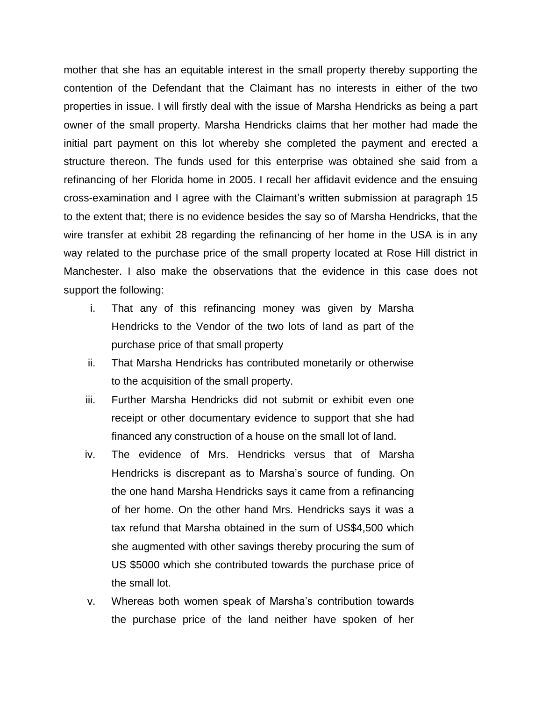mother that she has an equitable interest in the small property thereby supporting the contention of the Defendant that the Claimant has no interests in either of the two properties in issue. I will firstly deal with the issue of Marsha Hendricks as being a part owner of the small property. Marsha Hendricks claims that her mother had made the initial part payment on this lot whereby she completed the payment and erected a structure thereon. The funds used for this enterprise was obtained she said from a refinancing of her Florida home in 2005. I recall her affidavit evidence and the ensuing cross-examination and I agree with the Claimant's written submission at paragraph 15 to the extent that; there is no evidence besides the say so of Marsha Hendricks, that the wire transfer at exhibit 28 regarding the refinancing of her home in the USA is in any way related to the purchase price of the small property located at Rose Hill district in Manchester. I also make the observations that the evidence in this case does not support the following:

- i. That any of this refinancing money was given by Marsha Hendricks to the Vendor of the two lots of land as part of the purchase price of that small property
- ii. That Marsha Hendricks has contributed monetarily or otherwise to the acquisition of the small property.
- iii. Further Marsha Hendricks did not submit or exhibit even one receipt or other documentary evidence to support that she had financed any construction of a house on the small lot of land.
- iv. The evidence of Mrs. Hendricks versus that of Marsha Hendricks is discrepant as to Marsha's source of funding. On the one hand Marsha Hendricks says it came from a refinancing of her home. On the other hand Mrs. Hendricks says it was a tax refund that Marsha obtained in the sum of US\$4,500 which she augmented with other savings thereby procuring the sum of US \$5000 which she contributed towards the purchase price of the small lot.
- v. Whereas both women speak of Marsha's contribution towards the purchase price of the land neither have spoken of her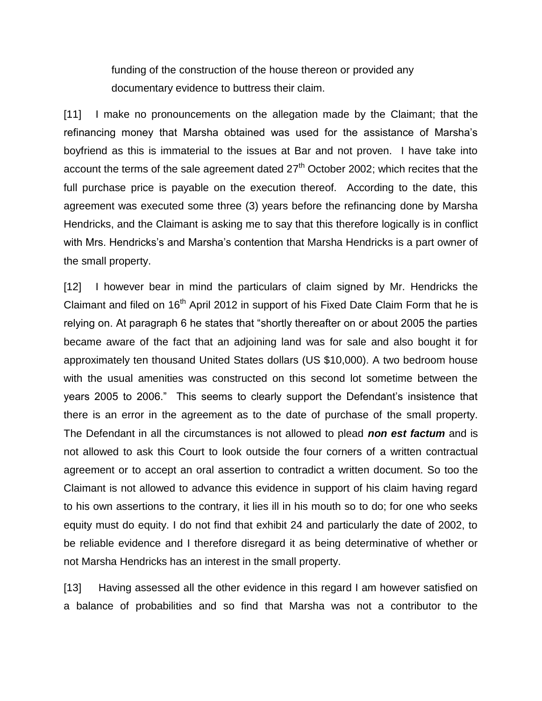funding of the construction of the house thereon or provided any documentary evidence to buttress their claim.

[11] I make no pronouncements on the allegation made by the Claimant; that the refinancing money that Marsha obtained was used for the assistance of Marsha's boyfriend as this is immaterial to the issues at Bar and not proven. I have take into account the terms of the sale agreement dated 27<sup>th</sup> October 2002; which recites that the full purchase price is payable on the execution thereof. According to the date, this agreement was executed some three (3) years before the refinancing done by Marsha Hendricks, and the Claimant is asking me to say that this therefore logically is in conflict with Mrs. Hendricks's and Marsha's contention that Marsha Hendricks is a part owner of the small property.

[12] I however bear in mind the particulars of claim signed by Mr. Hendricks the Claimant and filed on 16<sup>th</sup> April 2012 in support of his Fixed Date Claim Form that he is relying on. At paragraph 6 he states that "shortly thereafter on or about 2005 the parties became aware of the fact that an adjoining land was for sale and also bought it for approximately ten thousand United States dollars (US \$10,000). A two bedroom house with the usual amenities was constructed on this second lot sometime between the years 2005 to 2006." This seems to clearly support the Defendant's insistence that there is an error in the agreement as to the date of purchase of the small property. The Defendant in all the circumstances is not allowed to plead *non est factum* and is not allowed to ask this Court to look outside the four corners of a written contractual agreement or to accept an oral assertion to contradict a written document. So too the Claimant is not allowed to advance this evidence in support of his claim having regard to his own assertions to the contrary, it lies ill in his mouth so to do; for one who seeks equity must do equity. I do not find that exhibit 24 and particularly the date of 2002, to be reliable evidence and I therefore disregard it as being determinative of whether or not Marsha Hendricks has an interest in the small property.

[13] Having assessed all the other evidence in this regard I am however satisfied on a balance of probabilities and so find that Marsha was not a contributor to the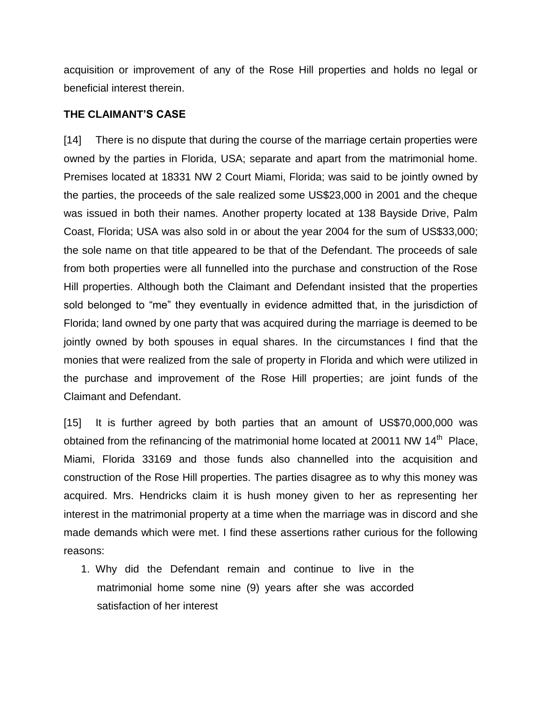acquisition or improvement of any of the Rose Hill properties and holds no legal or beneficial interest therein.

#### **THE CLAIMANT'S CASE**

[14] There is no dispute that during the course of the marriage certain properties were owned by the parties in Florida, USA; separate and apart from the matrimonial home. Premises located at 18331 NW 2 Court Miami, Florida; was said to be jointly owned by the parties, the proceeds of the sale realized some US\$23,000 in 2001 and the cheque was issued in both their names. Another property located at 138 Bayside Drive, Palm Coast, Florida; USA was also sold in or about the year 2004 for the sum of US\$33,000; the sole name on that title appeared to be that of the Defendant. The proceeds of sale from both properties were all funnelled into the purchase and construction of the Rose Hill properties. Although both the Claimant and Defendant insisted that the properties sold belonged to "me" they eventually in evidence admitted that, in the jurisdiction of Florida; land owned by one party that was acquired during the marriage is deemed to be jointly owned by both spouses in equal shares. In the circumstances I find that the monies that were realized from the sale of property in Florida and which were utilized in the purchase and improvement of the Rose Hill properties; are joint funds of the Claimant and Defendant.

[15] It is further agreed by both parties that an amount of US\$70,000,000 was obtained from the refinancing of the matrimonial home located at 20011 NW 14<sup>th</sup> Place, Miami, Florida 33169 and those funds also channelled into the acquisition and construction of the Rose Hill properties. The parties disagree as to why this money was acquired. Mrs. Hendricks claim it is hush money given to her as representing her interest in the matrimonial property at a time when the marriage was in discord and she made demands which were met. I find these assertions rather curious for the following reasons:

1. Why did the Defendant remain and continue to live in the matrimonial home some nine (9) years after she was accorded satisfaction of her interest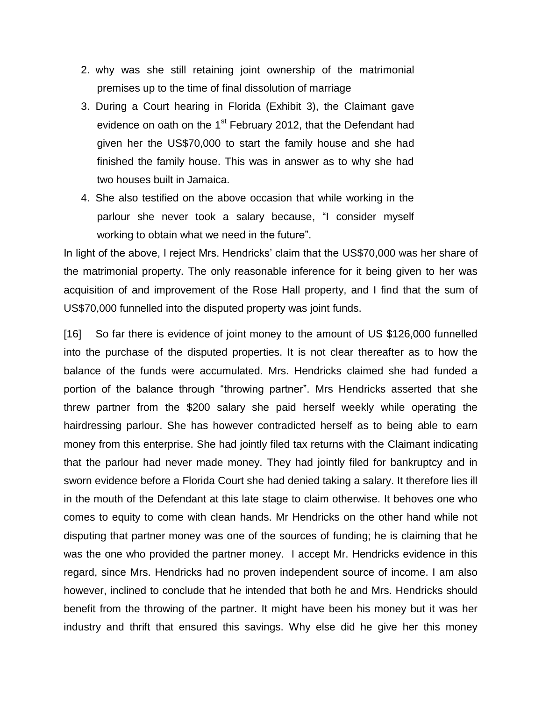- 2. why was she still retaining joint ownership of the matrimonial premises up to the time of final dissolution of marriage
- 3. During a Court hearing in Florida (Exhibit 3), the Claimant gave evidence on oath on the 1<sup>st</sup> February 2012, that the Defendant had given her the US\$70,000 to start the family house and she had finished the family house. This was in answer as to why she had two houses built in Jamaica.
- 4. She also testified on the above occasion that while working in the parlour she never took a salary because, "I consider myself working to obtain what we need in the future".

In light of the above, I reject Mrs. Hendricks' claim that the US\$70,000 was her share of the matrimonial property. The only reasonable inference for it being given to her was acquisition of and improvement of the Rose Hall property, and I find that the sum of US\$70,000 funnelled into the disputed property was joint funds.

[16] So far there is evidence of joint money to the amount of US \$126,000 funnelled into the purchase of the disputed properties. It is not clear thereafter as to how the balance of the funds were accumulated. Mrs. Hendricks claimed she had funded a portion of the balance through "throwing partner". Mrs Hendricks asserted that she threw partner from the \$200 salary she paid herself weekly while operating the hairdressing parlour. She has however contradicted herself as to being able to earn money from this enterprise. She had jointly filed tax returns with the Claimant indicating that the parlour had never made money. They had jointly filed for bankruptcy and in sworn evidence before a Florida Court she had denied taking a salary. It therefore lies ill in the mouth of the Defendant at this late stage to claim otherwise. It behoves one who comes to equity to come with clean hands. Mr Hendricks on the other hand while not disputing that partner money was one of the sources of funding; he is claiming that he was the one who provided the partner money. I accept Mr. Hendricks evidence in this regard, since Mrs. Hendricks had no proven independent source of income. I am also however, inclined to conclude that he intended that both he and Mrs. Hendricks should benefit from the throwing of the partner. It might have been his money but it was her industry and thrift that ensured this savings. Why else did he give her this money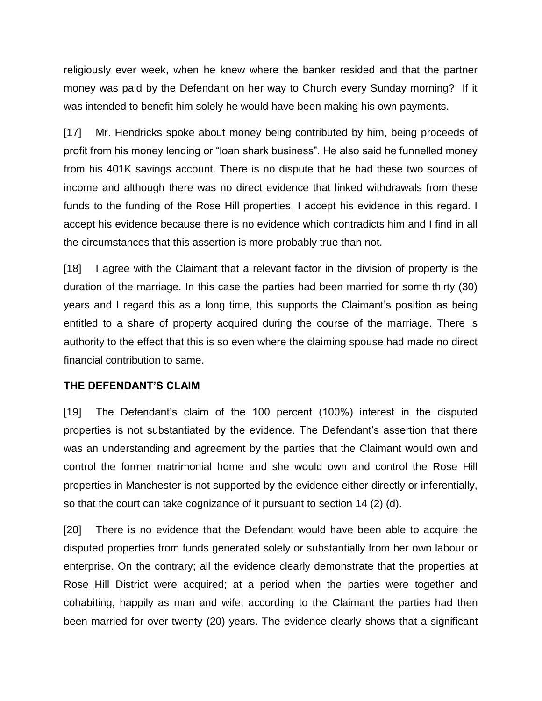religiously ever week, when he knew where the banker resided and that the partner money was paid by the Defendant on her way to Church every Sunday morning? If it was intended to benefit him solely he would have been making his own payments.

[17] Mr. Hendricks spoke about money being contributed by him, being proceeds of profit from his money lending or "loan shark business". He also said he funnelled money from his 401K savings account. There is no dispute that he had these two sources of income and although there was no direct evidence that linked withdrawals from these funds to the funding of the Rose Hill properties, I accept his evidence in this regard. I accept his evidence because there is no evidence which contradicts him and I find in all the circumstances that this assertion is more probably true than not.

[18] I agree with the Claimant that a relevant factor in the division of property is the duration of the marriage. In this case the parties had been married for some thirty (30) years and I regard this as a long time, this supports the Claimant's position as being entitled to a share of property acquired during the course of the marriage. There is authority to the effect that this is so even where the claiming spouse had made no direct financial contribution to same.

## **THE DEFENDANT'S CLAIM**

[19] The Defendant's claim of the 100 percent (100%) interest in the disputed properties is not substantiated by the evidence. The Defendant's assertion that there was an understanding and agreement by the parties that the Claimant would own and control the former matrimonial home and she would own and control the Rose Hill properties in Manchester is not supported by the evidence either directly or inferentially, so that the court can take cognizance of it pursuant to section 14 (2) (d).

[20] There is no evidence that the Defendant would have been able to acquire the disputed properties from funds generated solely or substantially from her own labour or enterprise. On the contrary; all the evidence clearly demonstrate that the properties at Rose Hill District were acquired; at a period when the parties were together and cohabiting, happily as man and wife, according to the Claimant the parties had then been married for over twenty (20) years. The evidence clearly shows that a significant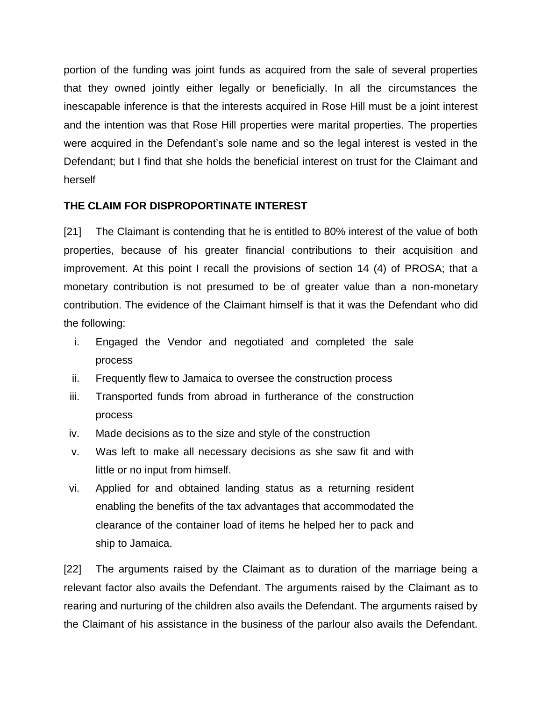portion of the funding was joint funds as acquired from the sale of several properties that they owned jointly either legally or beneficially. In all the circumstances the inescapable inference is that the interests acquired in Rose Hill must be a joint interest and the intention was that Rose Hill properties were marital properties. The properties were acquired in the Defendant's sole name and so the legal interest is vested in the Defendant; but I find that she holds the beneficial interest on trust for the Claimant and herself

## **THE CLAIM FOR DISPROPORTINATE INTEREST**

[21] The Claimant is contending that he is entitled to 80% interest of the value of both properties, because of his greater financial contributions to their acquisition and improvement. At this point I recall the provisions of section 14 (4) of PROSA; that a monetary contribution is not presumed to be of greater value than a non-monetary contribution. The evidence of the Claimant himself is that it was the Defendant who did the following:

- i. Engaged the Vendor and negotiated and completed the sale process
- ii. Frequently flew to Jamaica to oversee the construction process
- iii. Transported funds from abroad in furtherance of the construction process
- iv. Made decisions as to the size and style of the construction
- v. Was left to make all necessary decisions as she saw fit and with little or no input from himself.
- vi. Applied for and obtained landing status as a returning resident enabling the benefits of the tax advantages that accommodated the clearance of the container load of items he helped her to pack and ship to Jamaica.

[22] The arguments raised by the Claimant as to duration of the marriage being a relevant factor also avails the Defendant. The arguments raised by the Claimant as to rearing and nurturing of the children also avails the Defendant. The arguments raised by the Claimant of his assistance in the business of the parlour also avails the Defendant.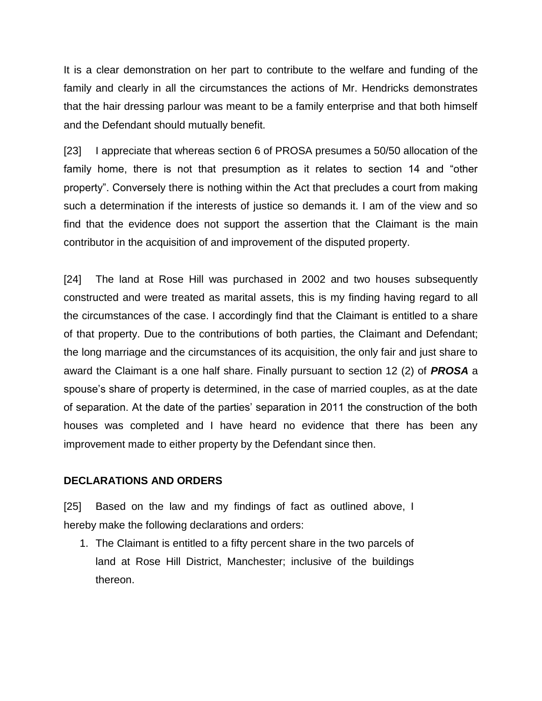It is a clear demonstration on her part to contribute to the welfare and funding of the family and clearly in all the circumstances the actions of Mr. Hendricks demonstrates that the hair dressing parlour was meant to be a family enterprise and that both himself and the Defendant should mutually benefit.

[23] I appreciate that whereas section 6 of PROSA presumes a 50/50 allocation of the family home, there is not that presumption as it relates to section 14 and "other property". Conversely there is nothing within the Act that precludes a court from making such a determination if the interests of justice so demands it. I am of the view and so find that the evidence does not support the assertion that the Claimant is the main contributor in the acquisition of and improvement of the disputed property.

[24] The land at Rose Hill was purchased in 2002 and two houses subsequently constructed and were treated as marital assets, this is my finding having regard to all the circumstances of the case. I accordingly find that the Claimant is entitled to a share of that property. Due to the contributions of both parties, the Claimant and Defendant; the long marriage and the circumstances of its acquisition, the only fair and just share to award the Claimant is a one half share. Finally pursuant to section 12 (2) of *PROSA* a spouse's share of property is determined, in the case of married couples, as at the date of separation. At the date of the parties' separation in 2011 the construction of the both houses was completed and I have heard no evidence that there has been any improvement made to either property by the Defendant since then.

## **DECLARATIONS AND ORDERS**

[25] Based on the law and my findings of fact as outlined above, I hereby make the following declarations and orders:

1. The Claimant is entitled to a fifty percent share in the two parcels of land at Rose Hill District, Manchester; inclusive of the buildings thereon.